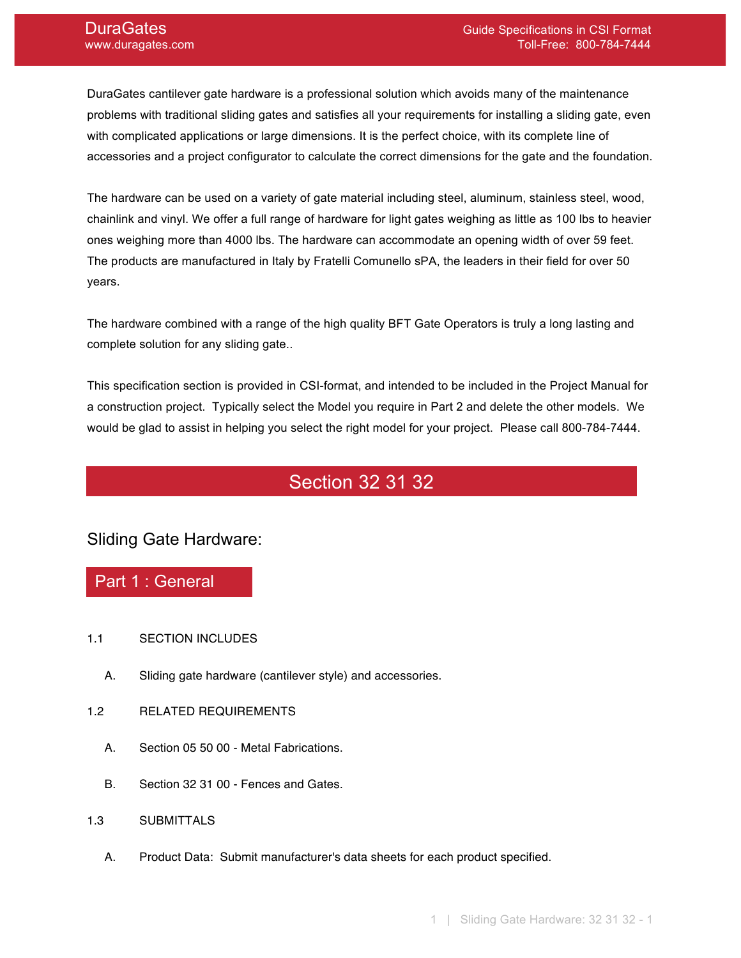DuraGates cantilever gate hardware is a professional solution which avoids many of the maintenance problems with traditional sliding gates and satisfies all your requirements for installing a sliding gate, even with complicated applications or large dimensions. It is the perfect choice, with its complete line of accessories and a project configurator to calculate the correct dimensions for the gate and the foundation.

The hardware can be used on a variety of gate material including steel, aluminum, stainless steel, wood, chainlink and vinyl. We offer a full range of hardware for light gates weighing as little as 100 lbs to heavier ones weighing more than 4000 lbs. The hardware can accommodate an opening width of over 59 feet. The products are manufactured in Italy by Fratelli Comunello sPA, the leaders in their field for over 50 years.

The hardware combined with a range of the high quality BFT Gate Operators is truly a long lasting and complete solution for any sliding gate..

This specification section is provided in CSI-format, and intended to be included in the Project Manual for a construction project. Typically select the Model you require in Part 2 and delete the other models. We would be glad to assist in helping you select the right model for your project. Please call 800-784-7444.

# Section 32 31 32

### Sliding Gate Hardware:

### Part 1 : General

- 1.1 SECTION INCLUDES
	- A. Sliding gate hardware (cantilever style) and accessories.
- 1.2 RELATED REQUIREMENTS
	- A. Section 05 50 00 Metal Fabrications.
	- B. Section 32 31 00 Fences and Gates.
- 1.3 SUBMITTALS
	- A. Product Data: Submit manufacturer's data sheets for each product specified.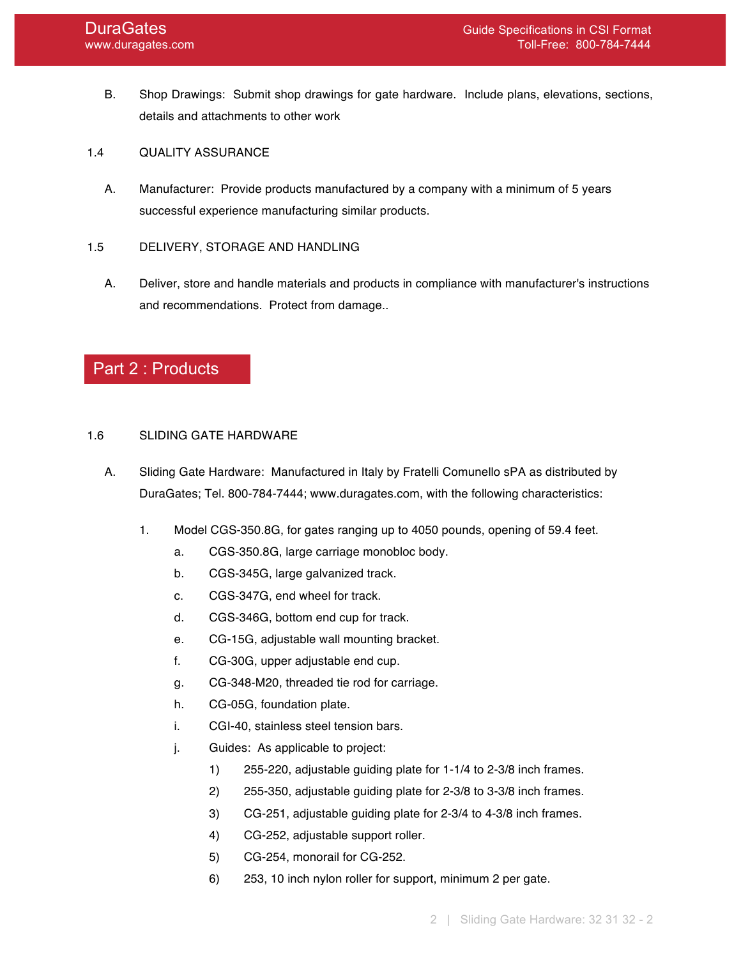- B. Shop Drawings: Submit shop drawings for gate hardware. Include plans, elevations, sections, details and attachments to other work
- 1.4 QUALITY ASSURANCE
	- A. Manufacturer: Provide products manufactured by a company with a minimum of 5 years successful experience manufacturing similar products.

#### 1.5 DELIVERY, STORAGE AND HANDLING

A. Deliver, store and handle materials and products in compliance with manufacturer's instructions and recommendations. Protect from damage..

## Part 2 : Products

#### 1.6 SLIDING GATE HARDWARE

- A. Sliding Gate Hardware: Manufactured in Italy by Fratelli Comunello sPA as distributed by DuraGates; Tel. 800-784-7444; www.duragates.com, with the following characteristics:
	- 1. Model CGS-350.8G, for gates ranging up to 4050 pounds, opening of 59.4 feet.
		- a. CGS-350.8G, large carriage monobloc body.
		- b. CGS-345G, large galvanized track.
		- c. CGS-347G, end wheel for track.
		- d. CGS-346G, bottom end cup for track.
		- e. CG-15G, adjustable wall mounting bracket.
		- f. CG-30G, upper adjustable end cup.
		- g. CG-348-M20, threaded tie rod for carriage.
		- h. CG-05G, foundation plate.
		- i. CGI-40, stainless steel tension bars.
		- j. Guides: As applicable to project:
			- 1) 255-220, adjustable guiding plate for 1-1/4 to 2-3/8 inch frames.
			- 2) 255-350, adjustable guiding plate for 2-3/8 to 3-3/8 inch frames.
			- 3) CG-251, adjustable guiding plate for 2-3/4 to 4-3/8 inch frames.
			- 4) CG-252, adjustable support roller.
			- 5) CG-254, monorail for CG-252.
			- 6) 253, 10 inch nylon roller for support, minimum 2 per gate.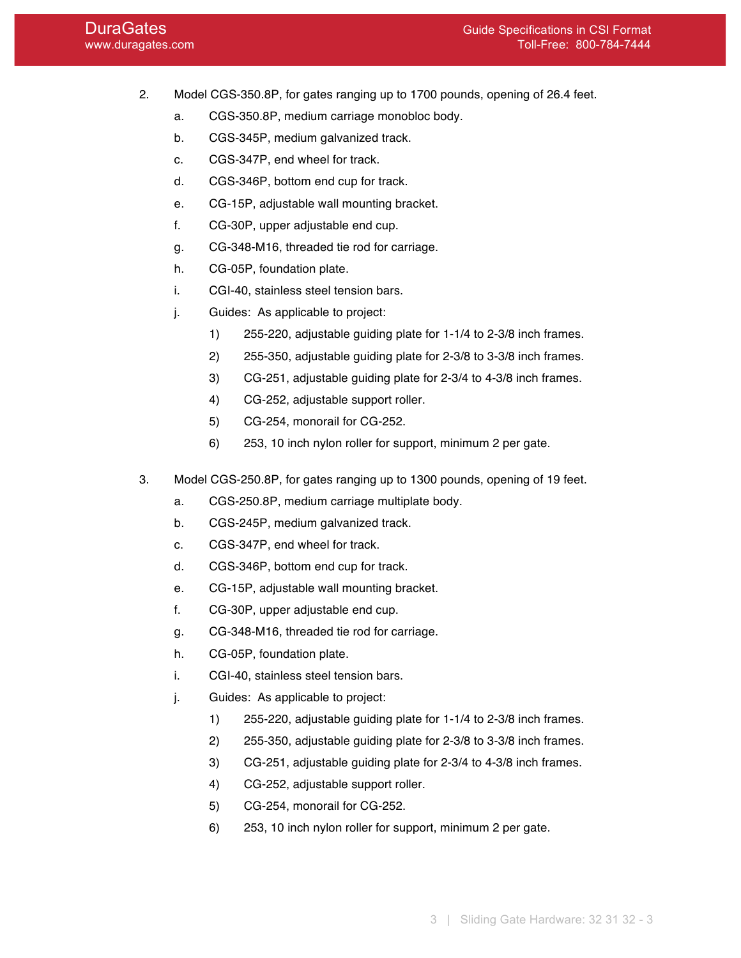- 2. Model CGS-350.8P, for gates ranging up to 1700 pounds, opening of 26.4 feet.
	- a. CGS-350.8P, medium carriage monobloc body.
	- b. CGS-345P, medium galvanized track.
	- c. CGS-347P, end wheel for track.
	- d. CGS-346P, bottom end cup for track.
	- e. CG-15P, adjustable wall mounting bracket.
	- f. CG-30P, upper adjustable end cup.
	- g. CG-348-M16, threaded tie rod for carriage.
	- h. CG-05P, foundation plate.
	- i. CGI-40, stainless steel tension bars.
	- j. Guides: As applicable to project:
		- 1) 255-220, adjustable guiding plate for 1-1/4 to 2-3/8 inch frames.
		- 2) 255-350, adjustable guiding plate for 2-3/8 to 3-3/8 inch frames.
		- 3) CG-251, adjustable guiding plate for 2-3/4 to 4-3/8 inch frames.
		- 4) CG-252, adjustable support roller.
		- 5) CG-254, monorail for CG-252.
		- 6) 253, 10 inch nylon roller for support, minimum 2 per gate.
- 3. Model CGS-250.8P, for gates ranging up to 1300 pounds, opening of 19 feet.
	- a. CGS-250.8P, medium carriage multiplate body.
	- b. CGS-245P, medium galvanized track.
	- c. CGS-347P, end wheel for track.
	- d. CGS-346P, bottom end cup for track.
	- e. CG-15P, adjustable wall mounting bracket.
	- f. CG-30P, upper adjustable end cup.
	- g. CG-348-M16, threaded tie rod for carriage.
	- h. CG-05P, foundation plate.
	- i. CGI-40, stainless steel tension bars.
	- j. Guides: As applicable to project:
		- 1) 255-220, adjustable guiding plate for 1-1/4 to 2-3/8 inch frames.
		- 2) 255-350, adjustable guiding plate for 2-3/8 to 3-3/8 inch frames.
		- 3) CG-251, adjustable guiding plate for 2-3/4 to 4-3/8 inch frames.
		- 4) CG-252, adjustable support roller.
		- 5) CG-254, monorail for CG-252.
		- 6) 253, 10 inch nylon roller for support, minimum 2 per gate.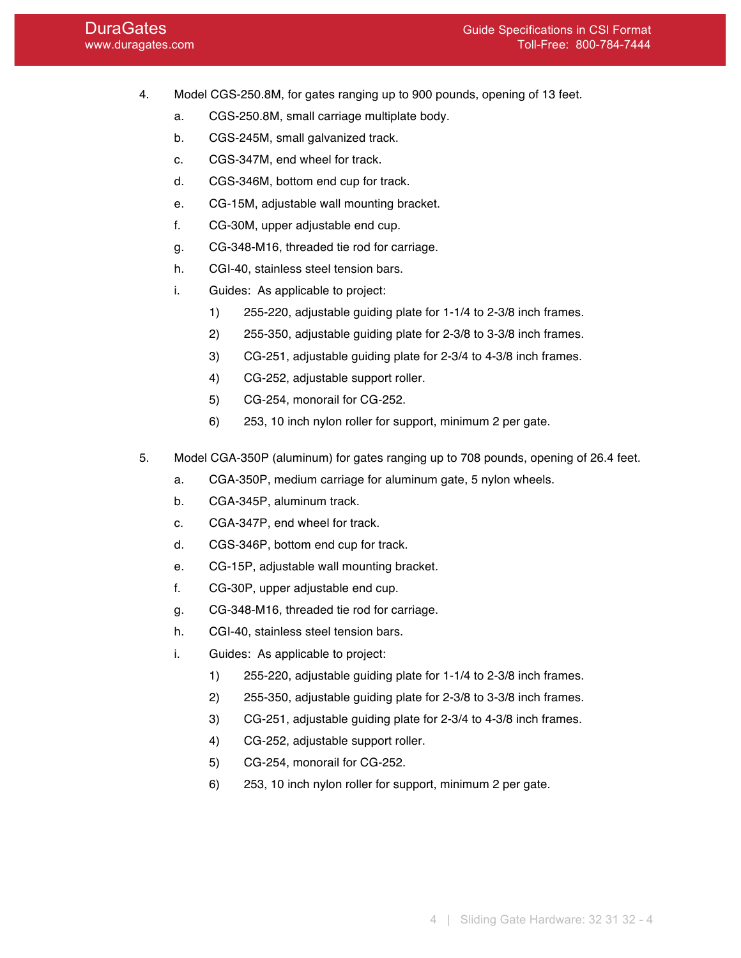- 4. Model CGS-250.8M, for gates ranging up to 900 pounds, opening of 13 feet.
	- a. CGS-250.8M, small carriage multiplate body.
	- b. CGS-245M, small galvanized track.
	- c. CGS-347M, end wheel for track.
	- d. CGS-346M, bottom end cup for track.
	- e. CG-15M, adjustable wall mounting bracket.
	- f. CG-30M, upper adjustable end cup.
	- g. CG-348-M16, threaded tie rod for carriage.
	- h. CGI-40, stainless steel tension bars.
	- i. Guides: As applicable to project:
		- 1) 255-220, adjustable guiding plate for 1-1/4 to 2-3/8 inch frames.
		- 2) 255-350, adjustable guiding plate for 2-3/8 to 3-3/8 inch frames.
		- 3) CG-251, adjustable guiding plate for 2-3/4 to 4-3/8 inch frames.
		- 4) CG-252, adjustable support roller.
		- 5) CG-254, monorail for CG-252.
		- 6) 253, 10 inch nylon roller for support, minimum 2 per gate.
- 5. Model CGA-350P (aluminum) for gates ranging up to 708 pounds, opening of 26.4 feet.
	- a. CGA-350P, medium carriage for aluminum gate, 5 nylon wheels.
	- b. CGA-345P, aluminum track.
	- c. CGA-347P, end wheel for track.
	- d. CGS-346P, bottom end cup for track.
	- e. CG-15P, adjustable wall mounting bracket.
	- f. CG-30P, upper adjustable end cup.
	- g. CG-348-M16, threaded tie rod for carriage.
	- h. CGI-40, stainless steel tension bars.
	- i. Guides: As applicable to project:
		- 1) 255-220, adjustable guiding plate for 1-1/4 to 2-3/8 inch frames.
		- 2) 255-350, adjustable guiding plate for 2-3/8 to 3-3/8 inch frames.
		- 3) CG-251, adjustable guiding plate for 2-3/4 to 4-3/8 inch frames.
		- 4) CG-252, adjustable support roller.
		- 5) CG-254, monorail for CG-252.
		- 6) 253, 10 inch nylon roller for support, minimum 2 per gate.